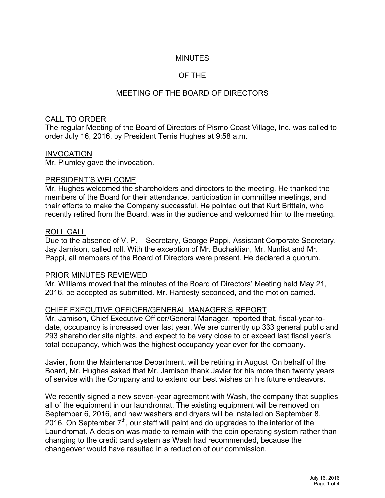# MINUTES

# OF THE

# MEETING OF THE BOARD OF DIRECTORS

### CALL TO ORDER

The regular Meeting of the Board of Directors of Pismo Coast Village, Inc. was called to order July 16, 2016, by President Terris Hughes at 9:58 a.m.

### INVOCATION

Mr. Plumley gave the invocation.

#### PRESIDENT'S WELCOME

Mr. Hughes welcomed the shareholders and directors to the meeting. He thanked the members of the Board for their attendance, participation in committee meetings, and their efforts to make the Company successful. He pointed out that Kurt Brittain, who recently retired from the Board, was in the audience and welcomed him to the meeting.

#### ROLL CALL

Due to the absence of V. P. – Secretary, George Pappi, Assistant Corporate Secretary, Jay Jamison, called roll. With the exception of Mr. Buchaklian, Mr. Nunlist and Mr. Pappi, all members of the Board of Directors were present. He declared a quorum.

#### PRIOR MINUTES REVIEWED

Mr. Williams moved that the minutes of the Board of Directors' Meeting held May 21, 2016, be accepted as submitted. Mr. Hardesty seconded, and the motion carried.

### CHIEF EXECUTIVE OFFICER/GENERAL MANAGER'S REPORT

Mr. Jamison, Chief Executive Officer/General Manager, reported that, fiscal-year-todate, occupancy is increased over last year. We are currently up 333 general public and 293 shareholder site nights, and expect to be very close to or exceed last fiscal year's total occupancy, which was the highest occupancy year ever for the company.

Javier, from the Maintenance Department, will be retiring in August. On behalf of the Board, Mr. Hughes asked that Mr. Jamison thank Javier for his more than twenty years of service with the Company and to extend our best wishes on his future endeavors.

We recently signed a new seven-year agreement with Wash, the company that supplies all of the equipment in our laundromat. The existing equipment will be removed on September 6, 2016, and new washers and dryers will be installed on September 8, 2016. On September  $7<sup>th</sup>$ , our staff will paint and do upgrades to the interior of the Laundromat. A decision was made to remain with the coin operating system rather than changing to the credit card system as Wash had recommended, because the changeover would have resulted in a reduction of our commission.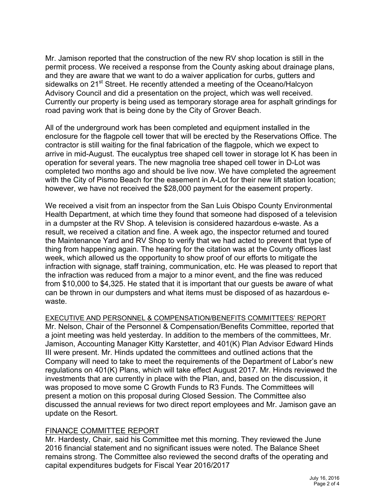Mr. Jamison reported that the construction of the new RV shop location is still in the permit process. We received a response from the County asking about drainage plans, and they are aware that we want to do a waiver application for curbs, gutters and sidewalks on 21<sup>st</sup> Street. He recently attended a meeting of the Oceano/Halcyon Advisory Council and did a presentation on the project, which was well received. Currently our property is being used as temporary storage area for asphalt grindings for road paving work that is being done by the City of Grover Beach.

All of the underground work has been completed and equipment installed in the enclosure for the flagpole cell tower that will be erected by the Reservations Office. The contractor is still waiting for the final fabrication of the flagpole, which we expect to arrive in mid-August. The eucalyptus tree shaped cell tower in storage lot K has been in operation for several years. The new magnolia tree shaped cell tower in D-Lot was completed two months ago and should be live now. We have completed the agreement with the City of Pismo Beach for the easement in A-Lot for their new lift station location; however, we have not received the \$28,000 payment for the easement property.

We received a visit from an inspector from the San Luis Obispo County Environmental Health Department, at which time they found that someone had disposed of a television in a dumpster at the RV Shop. A television is considered hazardous e-waste. As a result, we received a citation and fine. A week ago, the inspector returned and toured the Maintenance Yard and RV Shop to verify that we had acted to prevent that type of thing from happening again. The hearing for the citation was at the County offices last week, which allowed us the opportunity to show proof of our efforts to mitigate the infraction with signage, staff training, communication, etc. He was pleased to report that the infraction was reduced from a major to a minor event, and the fine was reduced from \$10,000 to \$4,325. He stated that it is important that our guests be aware of what can be thrown in our dumpsters and what items must be disposed of as hazardous ewaste.

EXECUTIVE AND PERSONNEL & COMPENSATION/BENEFITS COMMITTEES' REPORT

Mr. Nelson, Chair of the Personnel & Compensation/Benefits Committee, reported that a joint meeting was held yesterday. In addition to the members of the committees, Mr. Jamison, Accounting Manager Kitty Karstetter, and 401(K) Plan Advisor Edward Hinds III were present. Mr. Hinds updated the committees and outlined actions that the Company will need to take to meet the requirements of the Department of Labor's new regulations on 401(K) Plans, which will take effect August 2017. Mr. Hinds reviewed the investments that are currently in place with the Plan, and, based on the discussion, it was proposed to move some C Growth Funds to R3 Funds. The Committees will present a motion on this proposal during Closed Session. The Committee also discussed the annual reviews for two direct report employees and Mr. Jamison gave an update on the Resort.

### FINANCE COMMITTEE REPORT

Mr. Hardesty, Chair, said his Committee met this morning. They reviewed the June 2016 financial statement and no significant issues were noted. The Balance Sheet remains strong. The Committee also reviewed the second drafts of the operating and capital expenditures budgets for Fiscal Year 2016/2017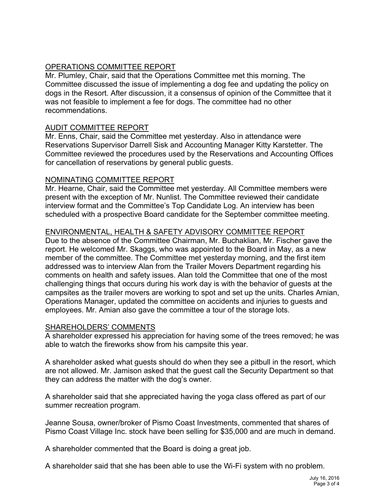# OPERATIONS COMMITTEE REPORT

Mr. Plumley, Chair, said that the Operations Committee met this morning. The Committee discussed the issue of implementing a dog fee and updating the policy on dogs in the Resort. After discussion, it a consensus of opinion of the Committee that it was not feasible to implement a fee for dogs. The committee had no other recommendations.

# AUDIT COMMITTEE REPORT

Mr. Enns, Chair, said the Committee met yesterday. Also in attendance were Reservations Supervisor Darrell Sisk and Accounting Manager Kitty Karstetter. The Committee reviewed the procedures used by the Reservations and Accounting Offices for cancellation of reservations by general public guests.

### NOMINATING COMMITTEE REPORT

Mr. Hearne, Chair, said the Committee met yesterday. All Committee members were present with the exception of Mr. Nunlist. The Committee reviewed their candidate interview format and the Committee's Top Candidate Log. An interview has been scheduled with a prospective Board candidate for the September committee meeting.

# ENVIRONMENTAL, HEALTH & SAFETY ADVISORY COMMITTEE REPORT

Due to the absence of the Committee Chairman, Mr. Buchaklian, Mr. Fischer gave the report. He welcomed Mr. Skaggs, who was appointed to the Board in May, as a new member of the committee. The Committee met yesterday morning, and the first item addressed was to interview Alan from the Trailer Movers Department regarding his comments on health and safety issues. Alan told the Committee that one of the most challenging things that occurs during his work day is with the behavior of guests at the campsites as the trailer movers are working to spot and set up the units. Charles Amian, Operations Manager, updated the committee on accidents and injuries to guests and employees. Mr. Amian also gave the committee a tour of the storage lots.

### SHAREHOLDERS' COMMENTS

A shareholder expressed his appreciation for having some of the trees removed; he was able to watch the fireworks show from his campsite this year.

A shareholder asked what guests should do when they see a pitbull in the resort, which are not allowed. Mr. Jamison asked that the guest call the Security Department so that they can address the matter with the dog's owner.

A shareholder said that she appreciated having the yoga class offered as part of our summer recreation program.

Jeanne Sousa, owner/broker of Pismo Coast Investments, commented that shares of Pismo Coast Village Inc. stock have been selling for \$35,000 and are much in demand.

A shareholder commented that the Board is doing a great job.

A shareholder said that she has been able to use the Wi-Fi system with no problem.